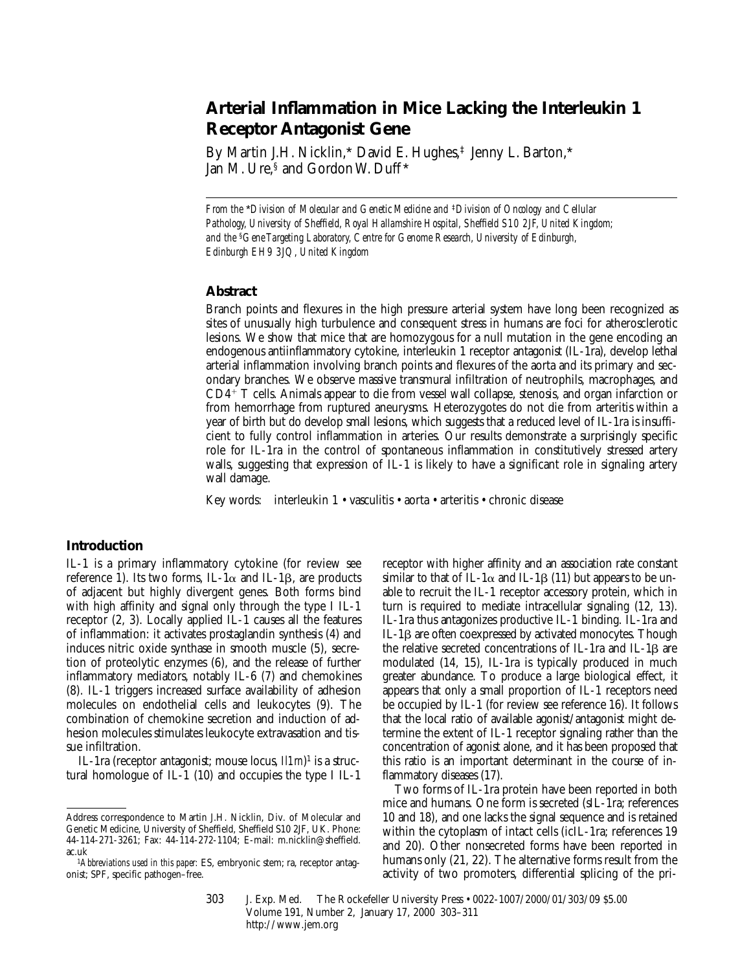# **Arterial Inflammation in Mice Lacking the Interleukin 1 Receptor Antagonist Gene**

By Martin J.H. Nicklin,\* David E. Hughes,<sup>‡</sup> Jenny L. Barton,\* Jan M. Ure,<sup>§</sup> and Gordon W. Duff<sup>\*</sup>

*From the* \**Division of Molecular and Genetic Medicine and* ‡*Division of Oncology and Cellular Pathology, University of Sheffield, Royal Hallamshire Hospital, Sheffield S10 2JF, United Kingdom; and the* §*Gene Targeting Laboratory, Centre for Genome Research, University of Edinburgh, Edinburgh EH9 3JQ, United Kingdom*

## **Abstract**

Branch points and flexures in the high pressure arterial system have long been recognized as sites of unusually high turbulence and consequent stress in humans are foci for atherosclerotic lesions. We show that mice that are homozygous for a null mutation in the gene encoding an endogenous antiinflammatory cytokine, interleukin 1 receptor antagonist (IL-1ra), develop lethal arterial inflammation involving branch points and flexures of the aorta and its primary and secondary branches. We observe massive transmural infiltration of neutrophils, macrophages, and  $CD4^+$  T cells. Animals appear to die from vessel wall collapse, stenosis, and organ infarction or from hemorrhage from ruptured aneurysms. Heterozygotes do not die from arteritis within a year of birth but do develop small lesions, which suggests that a reduced level of IL-1ra is insufficient to fully control inflammation in arteries. Our results demonstrate a surprisingly specific role for IL-1ra in the control of spontaneous inflammation in constitutively stressed artery walls, suggesting that expression of IL-1 is likely to have a significant role in signaling artery wall damage.

Key words: interleukin 1 • vasculitis • aorta • arteritis • chronic disease

## **Introduction**

IL-1 is a primary inflammatory cytokine (for review see reference 1). Its two forms, IL-1 $\alpha$  and IL-1 $\beta$ , are products of adjacent but highly divergent genes. Both forms bind with high affinity and signal only through the type I IL-1 receptor (2, 3). Locally applied IL-1 causes all the features of inflammation: it activates prostaglandin synthesis (4) and induces nitric oxide synthase in smooth muscle (5), secretion of proteolytic enzymes (6), and the release of further inflammatory mediators, notably IL-6 (7) and chemokines (8). IL-1 triggers increased surface availability of adhesion molecules on endothelial cells and leukocytes (9). The combination of chemokine secretion and induction of adhesion molecules stimulates leukocyte extravasation and tissue infiltration.

IL-1ra (receptor antagonist; mouse locus, *Il1rn*) 1 is a structural homologue of IL-1 (10) and occupies the type I IL-1 receptor with higher affinity and an association rate constant similar to that of IL-1 $\alpha$  and IL-1 $\beta$  (11) but appears to be unable to recruit the IL-1 receptor accessory protein, which in turn is required to mediate intracellular signaling (12, 13). IL-1ra thus antagonizes productive IL-1 binding. IL-1ra and IL-1b are often coexpressed by activated monocytes. Though the relative secreted concentrations of IL-1ra and IL-1 $\beta$  are modulated (14, 15), IL-1ra is typically produced in much greater abundance. To produce a large biological effect, it appears that only a small proportion of IL-1 receptors need be occupied by IL-1 (for review see reference 16). It follows that the local ratio of available agonist/antagonist might determine the extent of IL-1 receptor signaling rather than the concentration of agonist alone, and it has been proposed that this ratio is an important determinant in the course of inflammatory diseases (17).

Two forms of IL-1ra protein have been reported in both mice and humans. One form is secreted (sIL-1ra; references 10 and 18), and one lacks the signal sequence and is retained within the cytoplasm of intact cells (icIL-1ra; references 19 and 20). Other nonsecreted forms have been reported in humans only (21, 22). The alternative forms result from the activity of two promoters, differential splicing of the pri-

303 J. Exp. Med. © The Rockefeller University Press • 0022-1007/2000/01/303/09 \$5.00 Volume 191, Number 2, January 17, 2000 303–311 http://www.jem.org

Address correspondence to Martin J.H. Nicklin, Div. of Molecular and Genetic Medicine, University of Sheffield, Sheffield S10 2JF, UK. Phone: 44-114-271-3261; Fax: 44-114-272-1104; E-mail: m.nicklin@sheffield.

<sup>&</sup>lt;sup>1</sup>Abbreviations used in this paper: ES, embryonic stem; ra, receptor antagonist; SPF, specific pathogen–free.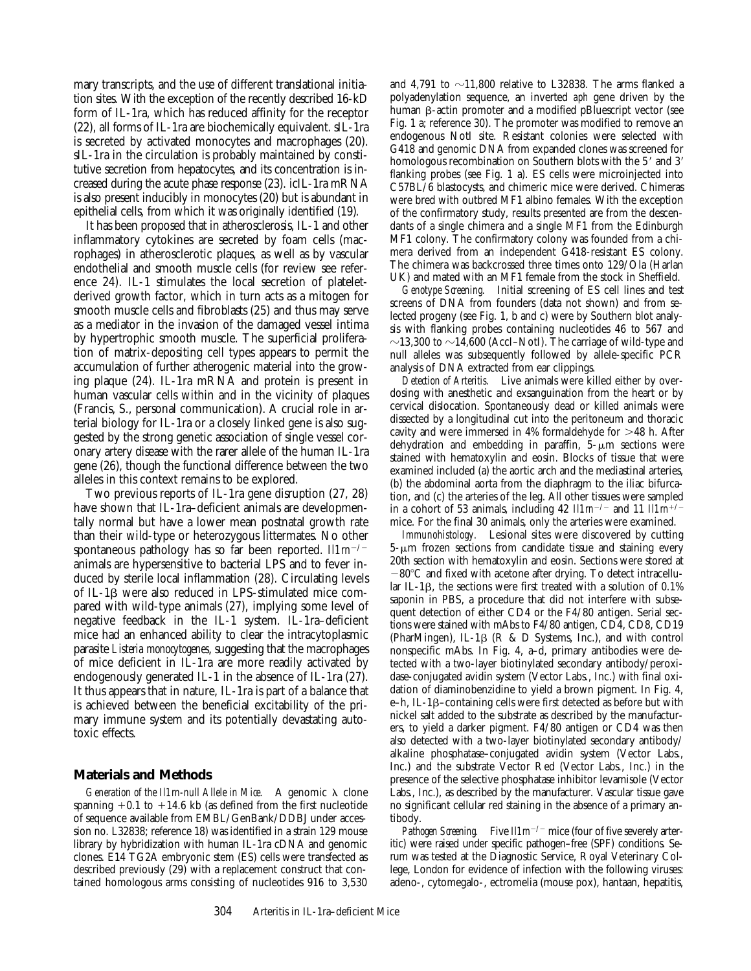mary transcripts, and the use of different translational initiation sites. With the exception of the recently described 16-kD form of IL-1ra, which has reduced affinity for the receptor (22), all forms of IL-1ra are biochemically equivalent. sIL-1ra is secreted by activated monocytes and macrophages (20). sIL-1ra in the circulation is probably maintained by constitutive secretion from hepatocytes, and its concentration is increased during the acute phase response (23). icIL-1ra mRNA is also present inducibly in monocytes (20) but is abundant in epithelial cells, from which it was originally identified (19).

It has been proposed that in atherosclerosis, IL-1 and other inflammatory cytokines are secreted by foam cells (macrophages) in atherosclerotic plaques, as well as by vascular endothelial and smooth muscle cells (for review see reference 24). IL-1 stimulates the local secretion of plateletderived growth factor, which in turn acts as a mitogen for smooth muscle cells and fibroblasts (25) and thus may serve as a mediator in the invasion of the damaged vessel intima by hypertrophic smooth muscle. The superficial proliferation of matrix-depositing cell types appears to permit the accumulation of further atherogenic material into the growing plaque (24). IL-1ra mRNA and protein is present in human vascular cells within and in the vicinity of plaques (Francis, S., personal communication). A crucial role in arterial biology for IL-1ra or a closely linked gene is also suggested by the strong genetic association of single vessel coronary artery disease with the rarer allele of the human IL-1ra gene (26), though the functional difference between the two alleles in this context remains to be explored.

Two previous reports of IL-1ra gene disruption (27, 28) have shown that IL-1ra–deficient animals are developmentally normal but have a lower mean postnatal growth rate than their wild-type or heterozygous littermates. No other spontaneous pathology has so far been reported.  $I/Im^{-/-}$ animals are hypersensitive to bacterial LPS and to fever induced by sterile local inflammation (28). Circulating levels of IL-1b were also reduced in LPS-stimulated mice compared with wild-type animals (27), implying some level of negative feedback in the IL-1 system. IL-1ra–deficient mice had an enhanced ability to clear the intracytoplasmic parasite *Listeria monocytogenes*, suggesting that the macrophages of mice deficient in IL-1ra are more readily activated by endogenously generated IL-1 in the absence of IL-1ra (27). It thus appears that in nature, IL-1ra is part of a balance that is achieved between the beneficial excitability of the primary immune system and its potentially devastating autotoxic effects.

# **Materials and Methods**

*Generation of the Il1rn-null Allele in Mice.* A genomic  $\lambda$  clone spanning  $+0.1$  to  $+14.6$  kb (as defined from the first nucleotide of sequence available from EMBL/GenBank/DDBJ under accession no. L32838; reference 18) was identified in a strain 129 mouse library by hybridization with human IL-1ra cDNA and genomic clones. E14 TG2A embryonic stem (ES) cells were transfected as described previously (29) with a replacement construct that contained homologous arms consisting of nucleotides 916 to 3,530

and 4,791 to  $\sim$ 11,800 relative to L32838. The arms flanked a polyadenylation sequence, an inverted *aph* gene driven by the human  $\beta$ -actin promoter and a modified pBluescript vector (see Fig. 1 a; reference 30). The promoter was modified to remove an endogenous NotI site. Resistant colonies were selected with G418 and genomic DNA from expanded clones was screened for homologous recombination on Southern blots with the 5' and 3' flanking probes (see Fig. 1 a). ES cells were microinjected into C57BL/6 blastocysts, and chimeric mice were derived. Chimeras were bred with outbred MF1 albino females. With the exception of the confirmatory study, results presented are from the descendants of a single chimera and a single MF1 from the Edinburgh MF1 colony. The confirmatory colony was founded from a chimera derived from an independent G418-resistant ES colony. The chimera was backcrossed three times onto 129/Ola (Harlan UK) and mated with an MF1 female from the stock in Sheffield.

*Genotype Screening.* Initial screening of ES cell lines and test screens of DNA from founders (data not shown) and from selected progeny (see Fig. 1, b and c) were by Southern blot analysis with flanking probes containing nucleotides 46 to 567 and  $\sim$ 13,300 to  $\sim$ 14,600 (AccI–NotI). The carriage of wild-type and null alleles was subsequently followed by allele-specific PCR analysis of DNA extracted from ear clippings.

*Detection of Arteritis.* Live animals were killed either by overdosing with anesthetic and exsanguination from the heart or by cervical dislocation. Spontaneously dead or killed animals were dissected by a longitudinal cut into the peritoneum and thoracic cavity and were immersed in  $4\%$  formaldehyde for  $>48$  h. After dehydration and embedding in paraffin,  $5-\mu m$  sections were stained with hematoxylin and eosin. Blocks of tissue that were examined included (a) the aortic arch and the mediastinal arteries, (b) the abdominal aorta from the diaphragm to the iliac bifurcation, and (c) the arteries of the leg. All other tissues were sampled in a cohort of 53 animals, including 42  $I/I/m^{-/-}$  and 11  $I/I/m^{+/-}$ mice. For the final 30 animals, only the arteries were examined.

*Immunohistology.* Lesional sites were discovered by cutting  $5-\mu m$  frozen sections from candidate tissue and staining every 20th section with hematoxylin and eosin. Sections were stored at  $-80^{\circ}$ C and fixed with acetone after drying. To detect intracellular IL-1 $\beta$ , the sections were first treated with a solution of 0.1% saponin in PBS, a procedure that did not interfere with subsequent detection of either CD4 or the F4/80 antigen. Serial sections were stained with mAbs to F4/80 antigen, CD4, CD8, CD19 (PharMingen), IL-1 $\beta$  (R & D Systems, Inc.), and with control nonspecific mAbs. In Fig. 4, a–d, primary antibodies were detected with a two-layer biotinylated secondary antibody/peroxidase-conjugated avidin system (Vector Labs., Inc.) with final oxidation of diaminobenzidine to yield a brown pigment. In Fig. 4, e–h, IL-1b–containing cells were first detected as before but with nickel salt added to the substrate as described by the manufacturers, to yield a darker pigment. F4/80 antigen or CD4 was then also detected with a two-layer biotinylated secondary antibody/ alkaline phosphatase–conjugated avidin system (Vector Labs., Inc.) and the substrate Vector Red (Vector Labs., Inc.) in the presence of the selective phosphatase inhibitor levamisole (Vector Labs., Inc.), as described by the manufacturer. Vascular tissue gave no significant cellular red staining in the absence of a primary antibody.

*Pathogen Screening.* Five  $\mathbb{I}1\mathbb{m}^{-/-}$  mice (four of five severely arteritic) were raised under specific pathogen–free (SPF) conditions. Serum was tested at the Diagnostic Service, Royal Veterinary College, London for evidence of infection with the following viruses: adeno-, cytomegalo-, ectromelia (mouse pox), hantaan, hepatitis,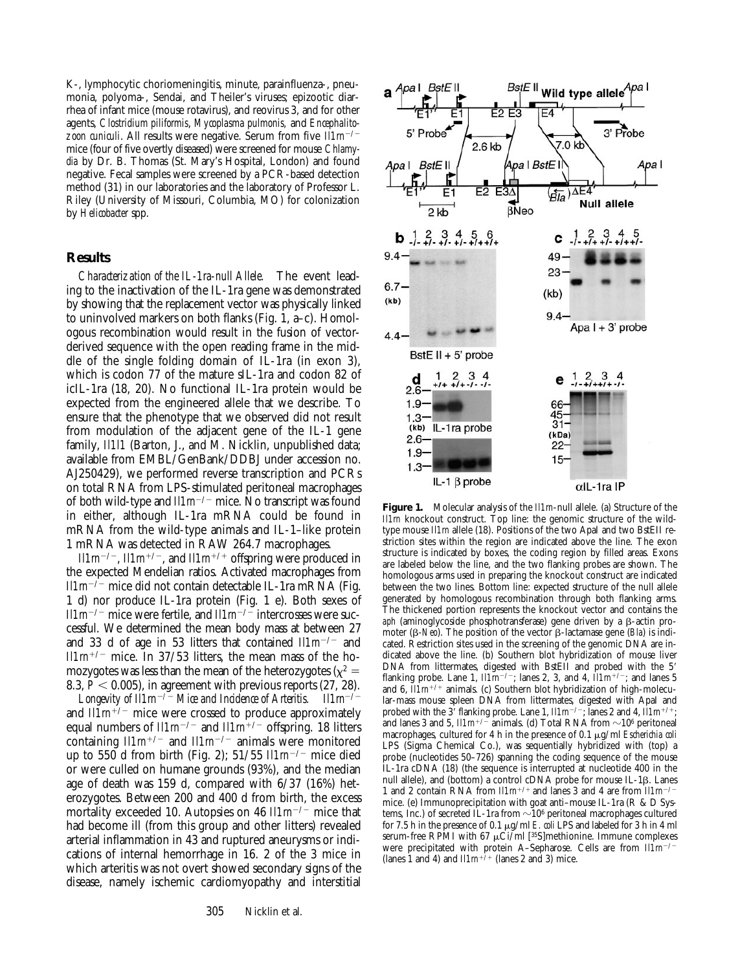K-, lymphocytic choriomeningitis, minute, parainfluenza-, pneumonia, polyoma-, Sendai, and Theiler's viruses; epizootic diarrhea of infant mice (mouse rotavirus), and reovirus 3, and for other agents, *Clostridium piliformis*, *Mycoplasma pulmonis,* and *Encephalitozoon cuniculi*. All results were negative. Serum from five *Il1rn<sup>-/-</sup>* mice (four of five overtly diseased) were screened for mouse *Chlamydia* by Dr. B. Thomas (St. Mary's Hospital, London) and found negative. Fecal samples were screened by a PCR-based detection method (31) in our laboratories and the laboratory of Professor L. Riley (University of Missouri, Columbia, MO) for colonization by *Helicobacter* spp.

#### **Results**

*Characterization of the IL-1ra-null Allele.* The event leading to the inactivation of the IL-1ra gene was demonstrated by showing that the replacement vector was physically linked to uninvolved markers on both flanks (Fig. 1, a–c). Homologous recombination would result in the fusion of vectorderived sequence with the open reading frame in the middle of the single folding domain of IL-1ra (in exon 3), which is codon 77 of the mature sIL-1ra and codon 82 of icIL-1ra (18, 20). No functional IL-1ra protein would be expected from the engineered allele that we describe. To ensure that the phenotype that we observed did not result from modulation of the adjacent gene of the IL-1 gene family, *Il1l1* (Barton, J., and M. Nicklin, unpublished data; available from EMBL/GenBank/DDBJ under accession no. AJ250429), we performed reverse transcription and PCRs on total RNA from LPS-stimulated peritoneal macrophages of both wild-type and  $I\ell Im^{-/-}$  mice. No transcript was found in either, although IL-1ra mRNA could be found in mRNA from the wild-type animals and IL-1–like protein 1 mRNA was detected in RAW 264.7 macrophages.

 $I\ell Im^{-/-}$ ,  $I\ell Im^{+/-}$ , and  $I\ell Im^{+/+}$  offspring were produced in the expected Mendelian ratios. Activated macrophages from  $I\ell Im^{-/-}$  mice did not contain detectable IL-1ra mRNA (Fig. 1 d) nor produce IL-1ra protein (Fig. 1 e). Both sexes of *Il1m<sup>-/-</sup>* mice were fertile, and *Il1m<sup>-/-*</sup> intercrosses were successful. We determined the mean body mass at between 27 and 33 d of age in 53 litters that contained  $I/Im^{-/-}$  and  $I11m^{+/-}$  mice. In 37/53 litters, the mean mass of the homozygotes was less than the mean of the heterozygotes ( $x^2 =$ 8.3,  $P < 0.005$ ), in agreement with previous reports (27, 28).

*Longevity of*  $\text{I}11\text{m}^{-7}$ *<sup>2</sup> Mice and Incidence of Arteritis.* Il1m<sup>-/-</sup> and  $I/Im^{+/-}$  mice were crossed to produce approximately equal numbers of  $Il1m^{-/-}$  and  $Il1m^{+/-}$  offspring. 18 litters containing  $I/Im^{+/-}$  and  $I/Im^{-/-}$  animals were monitored up to 550 d from birth (Fig. 2); 51/55  $I/l$ m<sup>-/-</sup> mice died or were culled on humane grounds (93%), and the median age of death was 159 d, compared with 6/37 (16%) heterozygotes. Between 200 and 400 d from birth, the excess mortality exceeded 10. Autopsies on 46 *Il1m<sup>-/-</sup>* mice that had become ill (from this group and other litters) revealed arterial inflammation in 43 and ruptured aneurysms or indications of internal hemorrhage in 16. 2 of the 3 mice in which arteritis was not overt showed secondary signs of the disease, namely ischemic cardiomyopathy and interstitial



**Figure 1.** Molecular analysis of the *Il1rn*-null allele. (a) Structure of the *Il1rn* knockout construct. Top line: the genomic structure of the wildtype mouse *Il1rn* allele (18). Positions of the two ApaI and two BstEII restriction sites within the region are indicated above the line. The exon structure is indicated by boxes, the coding region by filled areas. Exons are labeled below the line, and the two flanking probes are shown. The homologous arms used in preparing the knockout construct are indicated between the two lines. Bottom line: expected structure of the null allele generated by homologous recombination through both flanking arms. The thickened portion represents the knockout vector and contains the aph (aminoglycoside phosphotransferase) gene driven by a  $\beta$ -actin promoter ( $\beta$ -Neo). The position of the vector  $\beta$ -lactamase gene (*Bla*) is indicated. Restriction sites used in the screening of the genomic DNA are indicated above the line. (b) Southern blot hybridization of mouse liver DNA from littermates, digested with BstEII and probed with the 5' flanking probe. Lane 1,  $\overline{I} \overline{I} \overline{I} \overline{I} \overline{I} \overline{I} \overline{I}$  and 4,  $\overline{I} \overline{I} \overline{I} \overline{I} \overline{I} \overline{I} \overline{I} \overline{I} \overline{I} \overline{I} \overline{I} \overline{I} \overline{I} \overline{I} \overline{I} \overline{I} \overline{I} \overline{I} \overline{I} \overline{I} \overline{I} \overline{I} \overline{I} \overline{I}$ and 6,  $IIIm^{+/+}$  animals. (c) Southern blot hybridization of high-molecular-mass mouse spleen DNA from littermates, digested with ApaI and probed with the 3<sup>'</sup> flanking probe. Lane 1,  $I\ell Im^{-/-}$ ; lanes 2 and 4,  $\bar{I}\ell Im^{+/-}$ and lanes 3 and 5,  $I11m^{+/}$  animals. (d) Total RNA from  $\sim 10^6$  peritoneal macrophages, cultured for 4 h in the presence of 0.1 µg/ml *Escherichia coli* LPS (Sigma Chemical Co.), was sequentially hybridized with (top) a probe (nucleotides 50–726) spanning the coding sequence of the mouse IL-1ra cDNA (18) (the sequence is interrupted at nucleotide 400 in the null allele), and (bottom) a control cDNA probe for mouse IL-1ß. Lanes 1 and 2 contain RNA from  $lllm^{+/+}$  and lanes 3 and 4 are from  $lllm^{-/-}$ mice. (e) Immunoprecipitation with goat anti–mouse IL-1ra (R & D Systems, Inc.) of secreted IL-1ra from  $\sim$ 10<sup>6</sup> peritoneal macrophages cultured for 7.5 h in the presence of 0.1  $\mu$ g/ml *E. coli* LPS and labeled for 3 h in 4 ml serum-free RPMI with 67  $\mu$ Ci/ml [<sup>35</sup>S]methionine. Immune complexes were precipitated with protein A–Sepharose. Cells are from  $I\!I\!I\!m^{-/-}$ (lanes 1 and 4) and  $I/I\ell m^{+/+}$  (lanes 2 and 3) mice.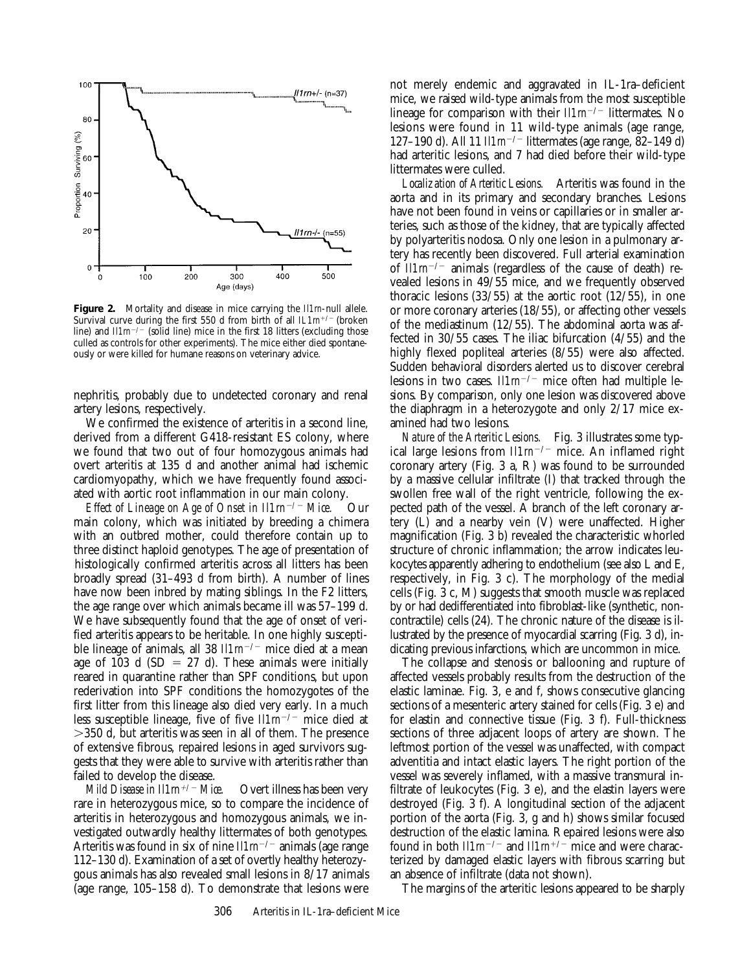

**Figure 2.** Mortality and disease in mice carrying the *Il1rn*-null allele. Survival curve during the first 550 d from birth of all  $IL1m^{+/-}$  (broken line) and  $I\ell Im^{-/-}$  (solid line) mice in the first 18 litters (excluding those culled as controls for other experiments). The mice either died spontaneously or were killed for humane reasons on veterinary advice.

nephritis, probably due to undetected coronary and renal artery lesions, respectively.

We confirmed the existence of arteritis in a second line, derived from a different G418-resistant ES colony, where we found that two out of four homozygous animals had overt arteritis at 135 d and another animal had ischemic cardiomyopathy, which we have frequently found associated with aortic root inflammation in our main colony.

*Effect of Lineage on Age of Onset in Il1rn<sup>-/-</sup> Mice.* Our main colony, which was initiated by breeding a chimera with an outbred mother, could therefore contain up to three distinct haploid genotypes. The age of presentation of histologically confirmed arteritis across all litters has been broadly spread (31–493 d from birth). A number of lines have now been inbred by mating siblings. In the F2 litters, the age range over which animals became ill was 57–199 d. We have subsequently found that the age of onset of verified arteritis appears to be heritable. In one highly susceptible lineage of animals, all 38 *Il1m<sup>-/-</sup>* mice died at a mean age of 103 d (SD = 27 d). These animals were initially reared in quarantine rather than SPF conditions, but upon rederivation into SPF conditions the homozygotes of the first litter from this lineage also died very early. In a much less susceptible lineage, five of five  $\mathit{Ilm}^{-/-}$  mice died at  $>$ 350 d, but arteritis was seen in all of them. The presence of extensive fibrous, repaired lesions in aged survivors suggests that they were able to survive with arteritis rather than failed to develop the disease.

*Mild Disease in Il1rn<sup>+/-</sup> Mice.* Overt illness has been very rare in heterozygous mice, so to compare the incidence of arteritis in heterozygous and homozygous animals, we investigated outwardly healthy littermates of both genotypes. Arteritis was found in six of nine  $I/Im^{-/-}$  animals (age range 112–130 d). Examination of a set of overtly healthy heterozygous animals has also revealed small lesions in 8/17 animals (age range, 105–158 d). To demonstrate that lesions were

not merely endemic and aggravated in IL-1ra–deficient mice, we raised wild-type animals from the most susceptible lineage for comparison with their  $Il1m^{-/-}$  littermates. No lesions were found in 11 wild-type animals (age range, 127–190 d). All 11 *II1m<sup>-/-</sup>* littermates (age range, 82–149 d) had arteritic lesions, and 7 had died before their wild-type littermates were culled.

*Localization of Arteritic Lesions.* Arteritis was found in the aorta and in its primary and secondary branches. Lesions have not been found in veins or capillaries or in smaller arteries, such as those of the kidney, that are typically affected by polyarteritis nodosa. Only one lesion in a pulmonary artery has recently been discovered. Full arterial examination of  $I1/m^{-/-}$  animals (regardless of the cause of death) revealed lesions in 49/55 mice, and we frequently observed thoracic lesions  $(33/55)$  at the aortic root  $(12/55)$ , in one or more coronary arteries (18/55), or affecting other vessels of the mediastinum (12/55). The abdominal aorta was affected in 30/55 cases. The iliac bifurcation (4/55) and the highly flexed popliteal arteries (8/55) were also affected. Sudden behavioral disorders alerted us to discover cerebral lesions in two cases.  $ll/m^{-/-}$  mice often had multiple lesions. By comparison, only one lesion was discovered above the diaphragm in a heterozygote and only 2/17 mice examined had two lesions.

*Nature of the Arteritic Lesions.* Fig. 3 illustrates some typical large lesions from  $ll/m^{-/-}$  mice. An inflamed right coronary artery (Fig. 3 a, R) was found to be surrounded by a massive cellular infiltrate (I) that tracked through the swollen free wall of the right ventricle, following the expected path of the vessel. A branch of the left coronary artery (L) and a nearby vein (V) were unaffected. Higher magnification (Fig. 3 b) revealed the characteristic whorled structure of chronic inflammation; the arrow indicates leukocytes apparently adhering to endothelium (see also L and E, respectively, in Fig. 3 c). The morphology of the medial cells (Fig. 3 c, M) suggests that smooth muscle was replaced by or had dedifferentiated into fibroblast-like (synthetic, noncontractile) cells (24). The chronic nature of the disease is illustrated by the presence of myocardial scarring (Fig. 3 d), indicating previous infarctions, which are uncommon in mice.

The collapse and stenosis or ballooning and rupture of affected vessels probably results from the destruction of the elastic laminae. Fig. 3, e and f, shows consecutive glancing sections of a mesenteric artery stained for cells (Fig. 3 e) and for elastin and connective tissue (Fig. 3 f). Full-thickness sections of three adjacent loops of artery are shown. The leftmost portion of the vessel was unaffected, with compact adventitia and intact elastic layers. The right portion of the vessel was severely inflamed, with a massive transmural infiltrate of leukocytes (Fig. 3 e), and the elastin layers were destroyed (Fig. 3 f). A longitudinal section of the adjacent portion of the aorta (Fig. 3, g and h) shows similar focused destruction of the elastic lamina. Repaired lesions were also found in both *Il1m<sup>-/-</sup>* and *Il1m<sup>+/-</sup>* mice and were characterized by damaged elastic layers with fibrous scarring but an absence of infiltrate (data not shown).

The margins of the arteritic lesions appeared to be sharply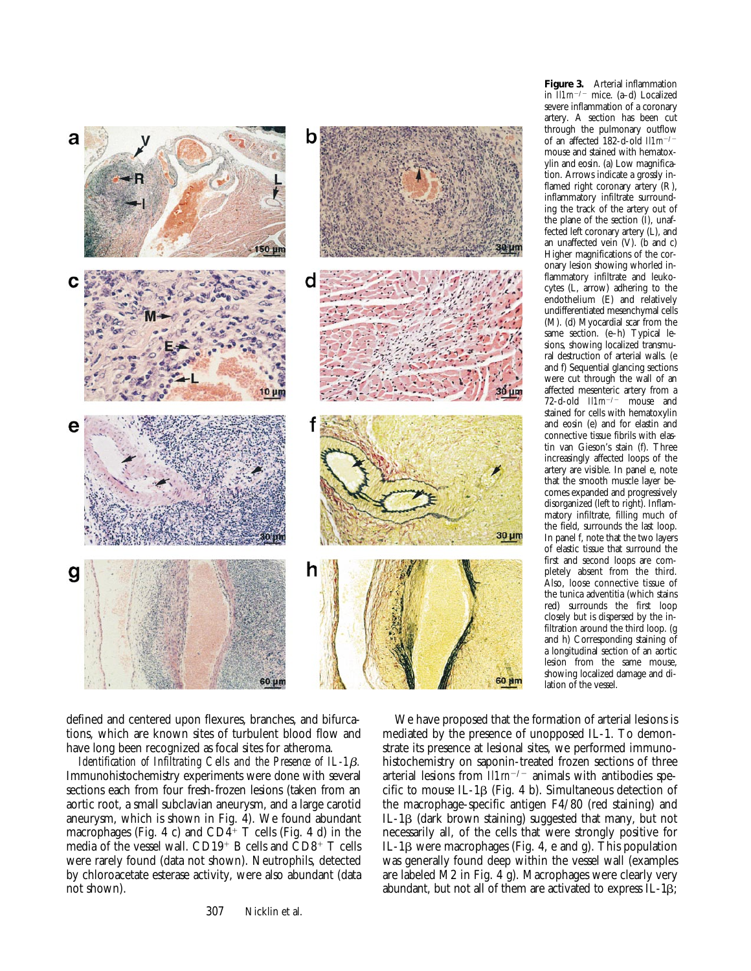

defined and centered upon flexures, branches, and bifurcations, which are known sites of turbulent blood flow and have long been recognized as focal sites for atheroma.

*Identification of Infiltrating Cells and the Presence of IL-1* $\beta$ *.* Immunohistochemistry experiments were done with several sections each from four fresh-frozen lesions (taken from an aortic root, a small subclavian aneurysm, and a large carotid aneurysm, which is shown in Fig. 4). We found abundant macrophages (Fig. 4 c) and  $CD4^+$  T cells (Fig. 4 d) in the media of the vessel wall.  $CD19+$  B cells and  $CD8+$  T cells were rarely found (data not shown). Neutrophils, detected by chloroacetate esterase activity, were also abundant (data not shown).

307 Nicklin et al.

**Figure 3.** Arterial inflammation in  $\overline{I} \overline{I} \overline{I} \overline{I} \overline{I} \overline{I} \overline{I} \overline{I} \overline{I} \overline{I} \overline{I} \overline{I} \overline{I} \overline{I}$  mice. (a–d) Localized severe inflammation of a coronary artery. A section has been cut through the pulmonary outflow of an affected 182-d-old  $Il1m^{-/-}$ mouse and stained with hematoxylin and eosin. (a) Low magnification. Arrows indicate a grossly inflamed right coronary artery (R), inflammatory infiltrate surrounding the track of the artery out of the plane of the section (I), unaffected left coronary artery (L), and an unaffected vein (V). (b and c) Higher magnifications of the coronary lesion showing whorled inflammatory infiltrate and leukocytes (L, arrow) adhering to the endothelium (E) and relatively undifferentiated mesenchymal cells (M). (d) Myocardial scar from the same section. (e–h) Typical lesions, showing localized transmural destruction of arterial walls. (e and f) Sequential glancing sections were cut through the wall of an affected mesenteric artery from a<br>72-d-old  $I\ell Im^{-/-}$  mouse and 72-d-old *Illm*<sup>-/-</sup> stained for cells with hematoxylin and eosin (e) and for elastin and connective tissue fibrils with elastin van Gieson's stain (f). Three increasingly affected loops of the artery are visible. In panel e, note that the smooth muscle layer becomes expanded and progressively disorganized (left to right). Inflammatory infiltrate, filling much of the field, surrounds the last loop. In panel f, note that the two layers of elastic tissue that surround the first and second loops are completely absent from the third. Also, loose connective tissue of the tunica adventitia (which stains red) surrounds the first loop closely but is dispersed by the infiltration around the third loop. (g and h) Corresponding staining of a longitudinal section of an aortic lesion from the same mouse, showing localized damage and dilation of the vessel.

We have proposed that the formation of arterial lesions is mediated by the presence of unopposed IL-1. To demonstrate its presence at lesional sites, we performed immunohistochemistry on saponin-treated frozen sections of three arterial lesions from  $Il1m^{-/-}$  animals with antibodies specific to mouse IL-1 $\beta$  (Fig. 4 b). Simultaneous detection of the macrophage-specific antigen F4/80 (red staining) and IL-1 $\beta$  (dark brown staining) suggested that many, but not necessarily all, of the cells that were strongly positive for IL-1 $\beta$  were macrophages (Fig. 4, e and g). This population was generally found deep within the vessel wall (examples are labeled M2 in Fig. 4 g). Macrophages were clearly very abundant, but not all of them are activated to express IL-1b;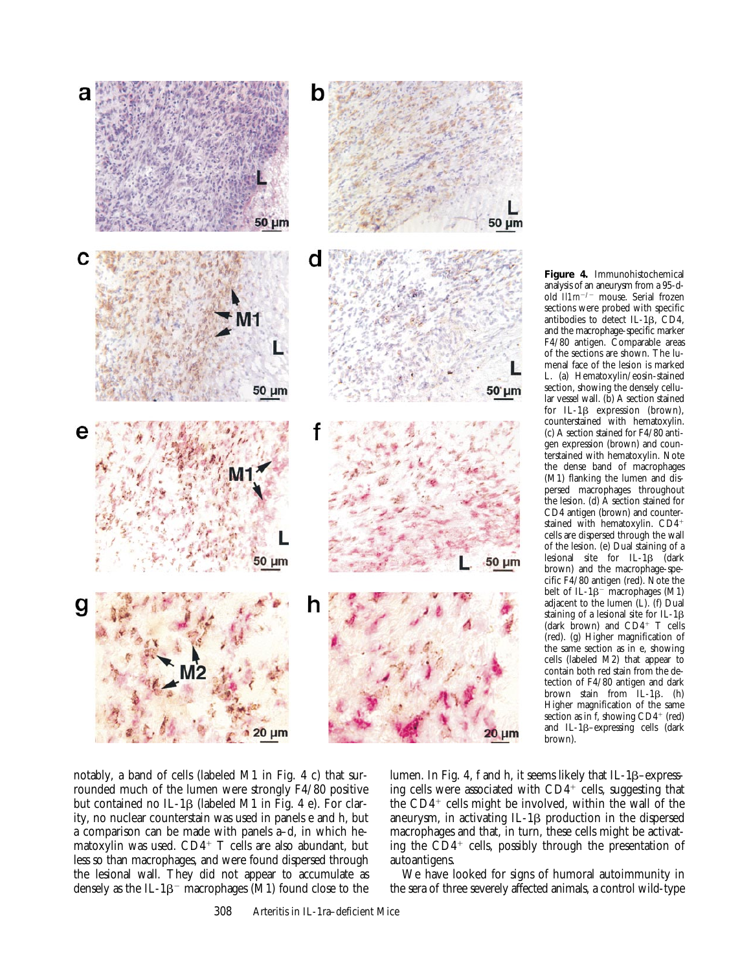

**Figure 4.** Immunohistochemical analysis of an aneurysm from a 95-dold *Il1m<sup>-/-</sup>* mouse. Serial frozen sections were probed with specific antibodies to detect IL-1b, CD4, and the macrophage-specific marker F4/80 antigen. Comparable areas of the sections are shown. The lumenal face of the lesion is marked L. (a) Hematoxylin/eosin-stained section, showing the densely cellular vessel wall. (b) A section stained for IL-1b expression (brown), counterstained with hematoxylin. (c) A section stained for F4/80 antigen expression (brown) and counterstained with hematoxylin. Note the dense band of macrophages (M1) flanking the lumen and dispersed macrophages throughout the lesion. (d) A section stained for CD4 antigen (brown) and counterstained with hematoxylin. CD4<sup>+</sup> cells are dispersed through the wall of the lesion. (e) Dual staining of a lesional site for  $IL-1\beta$  (dark brown) and the macrophage-specific F4/80 antigen (red). Note the belt of IL-1 $\beta$ <sup>-</sup> macrophages (M1) adjacent to the lumen (L). (f) Dual staining of a lesional site for IL-1 $\beta$ (dark brown) and  $CD4^+$  T cells (red). (g) Higher magnification of the same section as in e, showing cells (labeled M2) that appear to contain both red stain from the detection of F4/80 antigen and dark brown stain from  $IL-1\beta$ . (h) Higher magnification of the same section as in f, showing  $CD4^+$  (red) and IL-1 $\beta$ -expressing cells (dark brown).

notably, a band of cells (labeled M1 in Fig. 4 c) that surrounded much of the lumen were strongly F4/80 positive but contained no IL-1 $\beta$  (labeled M1 in Fig. 4 e). For clarity, no nuclear counterstain was used in panels e and h, but a comparison can be made with panels a–d, in which hematoxylin was used.  $CD4^+$  T cells are also abundant, but less so than macrophages, and were found dispersed through the lesional wall. They did not appear to accumulate as densely as the IL-1 $\beta$ <sup>-</sup> macrophages (M1) found close to the

lumen. In Fig. 4, f and h, it seems likely that IL-1 $\beta$ –expressing cells were associated with  $CD4^+$  cells, suggesting that the  $CD4^+$  cells might be involved, within the wall of the aneurysm, in activating  $IL-1\beta$  production in the dispersed macrophages and that, in turn, these cells might be activating the  $CD4^+$  cells, possibly through the presentation of autoantigens.

We have looked for signs of humoral autoimmunity in the sera of three severely affected animals, a control wild-type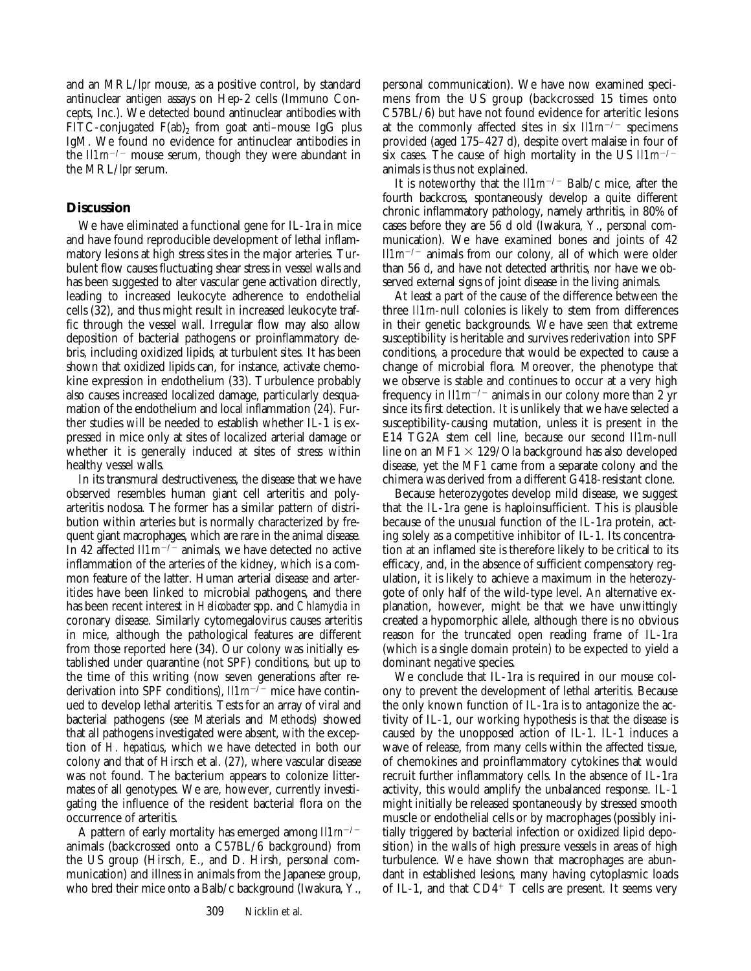and an MRL/*lpr* mouse, as a positive control, by standard antinuclear antigen assays on Hep-2 cells (Immuno Concepts, Inc.). We detected bound antinuclear antibodies with FITC-conjugated  $F(ab)_2$  from goat anti-mouse IgG plus IgM. We found no evidence for antinuclear antibodies in the  $I\ell Im^{-/-}$  mouse serum, though they were abundant in the MRL/*lpr* serum.

# **Discussion**

We have eliminated a functional gene for IL-1ra in mice and have found reproducible development of lethal inflammatory lesions at high stress sites in the major arteries. Turbulent flow causes fluctuating shear stress in vessel walls and has been suggested to alter vascular gene activation directly, leading to increased leukocyte adherence to endothelial cells (32), and thus might result in increased leukocyte traffic through the vessel wall. Irregular flow may also allow deposition of bacterial pathogens or proinflammatory debris, including oxidized lipids, at turbulent sites. It has been shown that oxidized lipids can, for instance, activate chemokine expression in endothelium (33). Turbulence probably also causes increased localized damage, particularly desquamation of the endothelium and local inflammation (24). Further studies will be needed to establish whether IL-1 is expressed in mice only at sites of localized arterial damage or whether it is generally induced at sites of stress within healthy vessel walls.

In its transmural destructiveness, the disease that we have observed resembles human giant cell arteritis and polyarteritis nodosa. The former has a similar pattern of distribution within arteries but is normally characterized by frequent giant macrophages, which are rare in the animal disease. In 42 affected  $I\ell Im^{-/2}$  animals, we have detected no active inflammation of the arteries of the kidney, which is a common feature of the latter. Human arterial disease and arteritides have been linked to microbial pathogens, and there has been recent interest in *Helicobacter* spp. and *Chlamydia* in coronary disease. Similarly cytomegalovirus causes arteritis in mice, although the pathological features are different from those reported here (34). Our colony was initially established under quarantine (not SPF) conditions, but up to the time of this writing (now seven generations after rederivation into SPF conditions),  $I11m^{-7}$  mice have continued to develop lethal arteritis. Tests for an array of viral and bacterial pathogens (see Materials and Methods) showed that all pathogens investigated were absent, with the exception of *H. hepaticus*, which we have detected in both our colony and that of Hirsch et al. (27), where vascular disease was not found. The bacterium appears to colonize littermates of all genotypes. We are, however, currently investigating the influence of the resident bacterial flora on the occurrence of arteritis.

A pattern of early mortality has emerged among  $I11m^{-/-}$ animals (backcrossed onto a C57BL/6 background) from the US group (Hirsch, E., and D. Hirsh, personal communication) and illness in animals from the Japanese group, who bred their mice onto a Balb/c background (Iwakura, Y.,

personal communication). We have now examined specimens from the US group (backcrossed 15 times onto C57BL/6) but have not found evidence for arteritic lesions at the commonly affected sites in six  $I\ell Im^{-/-}$  specimens provided (aged 175–427 d), despite overt malaise in four of six cases. The cause of high mortality in the US  $I\ell Im^{-/-}$ animals is thus not explained.

It is noteworthy that the *Il1m<sup>-/-</sup>* Balb/c mice, after the fourth backcross, spontaneously develop a quite different chronic inflammatory pathology, namely arthritis, in 80% of cases before they are 56 d old (Iwakura, Y., personal communication). We have examined bones and joints of 42 *Il1rn<sup>-/-</sup>* animals from our colony, all of which were older than 56 d, and have not detected arthritis, nor have we observed external signs of joint disease in the living animals.

At least a part of the cause of the difference between the three *Il1rn*-null colonies is likely to stem from differences in their genetic backgrounds. We have seen that extreme susceptibility is heritable and survives rederivation into SPF conditions, a procedure that would be expected to cause a change of microbial flora. Moreover, the phenotype that we observe is stable and continues to occur at a very high frequency in  $I\ell Im^{-/-}$  animals in our colony more than 2 yr since its first detection. It is unlikely that we have selected a susceptibility-causing mutation, unless it is present in the E14 TG2A stem cell line, because our second *Il1rn*-null line on an MF1  $\times$  129/Ola background has also developed disease, yet the MF1 came from a separate colony and the chimera was derived from a different G418-resistant clone.

Because heterozygotes develop mild disease, we suggest that the IL-1ra gene is haploinsufficient. This is plausible because of the unusual function of the IL-1ra protein, acting solely as a competitive inhibitor of IL-1. Its concentration at an inflamed site is therefore likely to be critical to its efficacy, and, in the absence of sufficient compensatory regulation, it is likely to achieve a maximum in the heterozygote of only half of the wild-type level. An alternative explanation, however, might be that we have unwittingly created a hypomorphic allele, although there is no obvious reason for the truncated open reading frame of IL-1ra (which is a single domain protein) to be expected to yield a dominant negative species.

We conclude that IL-1ra is required in our mouse colony to prevent the development of lethal arteritis. Because the only known function of IL-1ra is to antagonize the activity of IL-1, our working hypothesis is that the disease is caused by the unopposed action of IL-1. IL-1 induces a wave of release, from many cells within the affected tissue, of chemokines and proinflammatory cytokines that would recruit further inflammatory cells. In the absence of IL-1ra activity, this would amplify the unbalanced response. IL-1 might initially be released spontaneously by stressed smooth muscle or endothelial cells or by macrophages (possibly initially triggered by bacterial infection or oxidized lipid deposition) in the walls of high pressure vessels in areas of high turbulence. We have shown that macrophages are abundant in established lesions, many having cytoplasmic loads of IL-1, and that  $CD4^+$  T cells are present. It seems very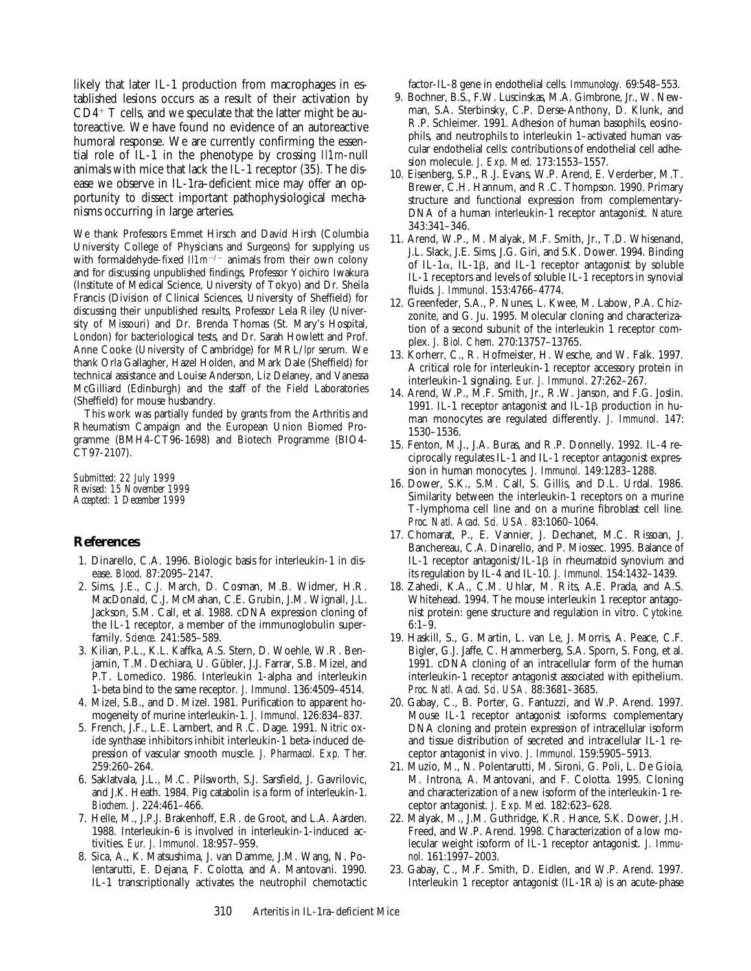likely that later IL-1 production from macrophages in established lesions occurs as a result of their activation by  $CD4^+$  T cells, and we speculate that the latter might be autoreactive. We have found no evidence of an autoreactive humoral response. We are currently confirming the essential role of IL-1 in the phenotype by crossing *Il1rn*-null animals with mice that lack the IL-1 receptor (35). The disease we observe in IL-1ra–deficient mice may offer an opportunity to dissect important pathophysiological mechanisms occurring in large arteries.

We thank Professors Emmet Hirsch and David Hirsh (Columbia University College of Physicians and Surgeons) for supplying us with formaldehyde-fixed *Il1m<sup>-/-</sup>* animals from their own colony and for discussing unpublished findings, Professor Yoichiro Iwakura (Institute of Medical Science, University of Tokyo) and Dr. Sheila Francis (Division of Clinical Sciences, University of Sheffield) for discussing their unpublished results, Professor Lela Riley (University of Missouri) and Dr. Brenda Thomas (St. Mary's Hospital, London) for bacteriological tests, and Dr. Sarah Howlett and Prof. Anne Cooke (University of Cambridge) for MRL/*lpr* serum. We thank Orla Gallagher, Hazel Holden, and Mark Dale (Sheffield) for technical assistance and Louise Anderson, Liz Delaney, and Vanessa McGilliard (Edinburgh) and the staff of the Field Laboratories (Sheffield) for mouse husbandry.

This work was partially funded by grants from the Arthritis and Rheumatism Campaign and the European Union Biomed Programme (BMH4-CT96-1698) and Biotech Programme (BIO4- CT97-2107).

*Submitted: 22 July 1999 Revised: 15 November 1999 Accepted: 1 December 1999*

#### **References**

- 1. Dinarello, C.A. 1996. Biologic basis for interleukin-1 in disease. *Blood.* 87:2095–2147.
- 2. Sims, J.E., C.J. March, D. Cosman, M.B. Widmer, H.R. MacDonald, C.J. McMahan, C.E. Grubin, J.M. Wignall, J.L. Jackson, S.M. Call, et al. 1988. cDNA expression cloning of the IL-1 receptor, a member of the immunoglobulin superfamily. *Science.* 241:585–589.
- 3. Kilian, P.L., K.L. Kaffka, A.S. Stern, D. Woehle, W.R. Benjamin, T.M. Dechiara, U. Gübler, J.J. Farrar, S.B. Mizel, and P.T. Lomedico. 1986. Interleukin 1-alpha and interleukin 1-beta bind to the same receptor. *J. Immunol*. 136:4509–4514.
- 4. Mizel, S.B., and D. Mizel. 1981. Purification to apparent homogeneity of murine interleukin-1. *J. Immunol*. 126:834–837.
- 5. French, J.F., L.E. Lambert, and R.C. Dage. 1991. Nitric oxide synthase inhibitors inhibit interleukin-1 beta-induced depression of vascular smooth muscle. *J. Pharmacol. Exp. Ther.* 259:260–264.
- 6. Saklatvala, J.L., M.C. Pilsworth, S.J. Sarsfield, J. Gavrilovic, and J.K. Heath. 1984. Pig catabolin is a form of interleukin-1. *Biochem. J*. 224:461–466.
- 7. Helle, M., J.P.J. Brakenhoff, E.R. de Groot, and L.A. Aarden. 1988. Interleukin-6 is involved in interleukin-1-induced activities. *Eur. J. Immunol*. 18:957–959.
- 8. Sica, A., K. Matsushima, J. van Damme, J.M. Wang, N. Polentarutti, E. Dejana, F. Colotta, and A. Mantovani. 1990. IL-1 transcriptionally activates the neutrophil chemotactic

factor-IL-8 gene in endothelial cells. *Immunology.* 69:548–553.

- 9. Bochner, B.S., F.W. Luscinskas, M.A. Gimbrone, Jr., W. Newman, S.A. Sterbinsky, C.P. Derse-Anthony, D. Klunk, and R.P. Schleimer. 1991. Adhesion of human basophils, eosinophils, and neutrophils to interleukin 1–activated human vascular endothelial cells: contributions of endothelial cell adhesion molecule. *J. Exp. Med.* 173:1553–1557.
- 10. Eisenberg, S.P., R.J. Evans, W.P. Arend, E. Verderber, M.T. Brewer, C.H. Hannum, and R.C. Thompson. 1990. Primary structure and functional expression from complementary-DNA of a human interleukin-1 receptor antagonist. *Nature.* 343:341–346.
- 11. Arend, W.P., M. Malyak, M.F. Smith, Jr., T.D. Whisenand, J.L. Slack, J.E. Sims, J.G. Giri, and S.K. Dower. 1994. Binding of IL-1 $\alpha$ , IL-1 $\beta$ , and IL-1 receptor antagonist by soluble IL-1 receptors and levels of soluble IL-1 receptors in synovial fluids. *J. Immunol*. 153:4766–4774.
- 12. Greenfeder, S.A., P. Nunes, L. Kwee, M. Labow, P.A. Chizzonite, and G. Ju. 1995. Molecular cloning and characterization of a second subunit of the interleukin 1 receptor complex. *J. Biol. Chem.* 270:13757–13765.
- 13. Korherr, C., R. Hofmeister, H. Wesche, and W. Falk. 1997. A critical role for interleukin-1 receptor accessory protein in interleukin-1 signaling. *Eur. J. Immunol*. 27:262–267.
- 14. Arend, W.P., M.F. Smith, Jr., R.W. Janson, and F.G. Joslin. 1991. IL-1 receptor antagonist and IL-1 $\beta$  production in human monocytes are regulated differently. *J. Immunol*. 147: 1530–1536.
- 15. Fenton, M.J., J.A. Buras, and R.P. Donnelly. 1992. IL-4 reciprocally regulates IL-1 and IL-1 receptor antagonist expression in human monocytes. *J. Immunol.* 149:1283–1288.
- 16. Dower, S.K., S.M. Call, S. Gillis, and D.L. Urdal. 1986. Similarity between the interleukin-1 receptors on a murine T-lymphoma cell line and on a murine fibroblast cell line. *Proc. Natl. Acad. Sci. USA.* 83:1060–1064.
- 17. Chomarat, P., E. Vannier, J. Dechanet, M.C. Rissoan, J. Banchereau, C.A. Dinarello, and P. Miossec. 1995. Balance of IL-1 receptor antagonist/IL-1 $\beta$  in rheumatoid synovium and its regulation by IL-4 and IL-10. *J. Immunol.* 154:1432–1439.
- 18. Zahedi, K.A., C.M. Uhlar, M. Rits, A.E. Prada, and A.S. Whitehead. 1994. The mouse interleukin 1 receptor antagonist protein: gene structure and regulation in vitro. *Cytokine.* 6:1–9.
- 19. Haskill, S., G. Martin, L. van Le, J. Morris, A. Peace, C.F. Bigler, G.J. Jaffe, C. Hammerberg, S.A. Sporn, S. Fong, et al. 1991. cDNA cloning of an intracellular form of the human interleukin-1 receptor antagonist associated with epithelium. *Proc. Natl. Acad. Sci*. *USA.* 88:3681–3685.
- 20. Gabay, C., B. Porter, G. Fantuzzi, and W.P. Arend. 1997. Mouse IL-1 receptor antagonist isoforms: complementary DNA cloning and protein expression of intracellular isoform and tissue distribution of secreted and intracellular IL-1 receptor antagonist in vivo. *J. Immunol*. 159:5905–5913.
- 21. Muzio, M., N. Polentarutti, M. Sironi, G. Poli, L. De Gioia, M. Introna, A. Mantovani, and F. Colotta. 1995. Cloning and characterization of a new isoform of the interleukin-1 receptor antagonist. *J. Exp. Med.* 182:623–628.
- 22. Malyak, M., J.M. Guthridge, K.R. Hance, S.K. Dower, J.H. Freed, and W.P. Arend. 1998. Characterization of a low molecular weight isoform of IL-1 receptor antagonist. *J. Immunol*. 161:1997–2003.
- 23. Gabay, C., M.F. Smith, D. Eidlen, and W.P. Arend. 1997. Interleukin 1 receptor antagonist (IL-1Ra) is an acute-phase